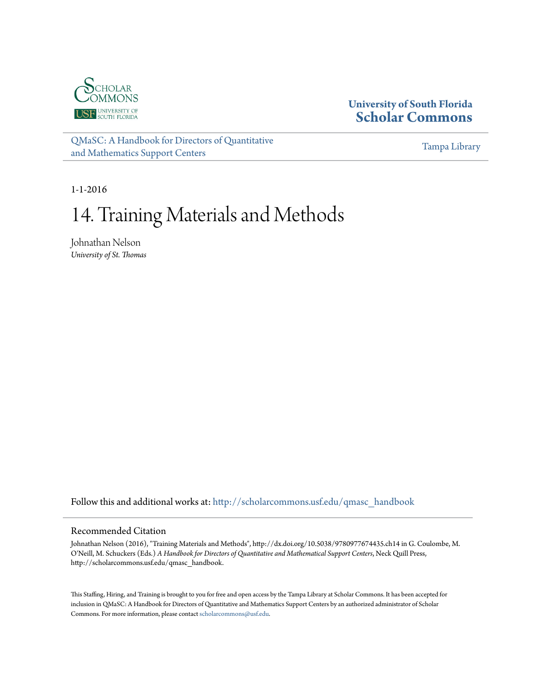

## **University of South Florida [Scholar Commons](http://scholarcommons.usf.edu?utm_source=scholarcommons.usf.edu%2Fqmasc_handbook%2F14&utm_medium=PDF&utm_campaign=PDFCoverPages)**

[QMaSC: A Handbook for Directors of Quantitative](http://scholarcommons.usf.edu/qmasc_handbook?utm_source=scholarcommons.usf.edu%2Fqmasc_handbook%2F14&utm_medium=PDF&utm_campaign=PDFCoverPages) [and Mathematics Support Centers](http://scholarcommons.usf.edu/qmasc_handbook?utm_source=scholarcommons.usf.edu%2Fqmasc_handbook%2F14&utm_medium=PDF&utm_campaign=PDFCoverPages)

[Tampa Library](http://scholarcommons.usf.edu/tlib?utm_source=scholarcommons.usf.edu%2Fqmasc_handbook%2F14&utm_medium=PDF&utm_campaign=PDFCoverPages)

1-1-2016

# 14. Training Materials and Methods

Johnathan Nelson *University of St. Thomas*

Follow this and additional works at: [http://scholarcommons.usf.edu/qmasc\\_handbook](http://scholarcommons.usf.edu/qmasc_handbook?utm_source=scholarcommons.usf.edu%2Fqmasc_handbook%2F14&utm_medium=PDF&utm_campaign=PDFCoverPages)

#### Recommended Citation

Johnathan Nelson (2016), "Training Materials and Methods", http://dx.doi.org/10.5038/9780977674435.ch14 in G. Coulombe, M. O'Neill, M. Schuckers (Eds.) *A Handbook for Directors of Quantitative and Mathematical Support Centers*, Neck Quill Press, http://scholarcommons.usf.edu/qmasc\_handbook.

This Staffing, Hiring, and Training is brought to you for free and open access by the Tampa Library at Scholar Commons. It has been accepted for inclusion in QMaSC: A Handbook for Directors of Quantitative and Mathematics Support Centers by an authorized administrator of Scholar Commons. For more information, please contact [scholarcommons@usf.edu](mailto:scholarcommons@usf.edu).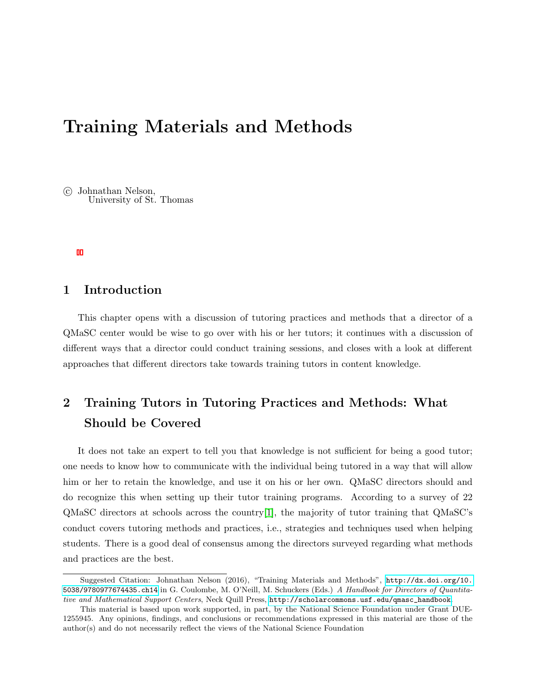## Training Materials and Methods

 c Johnathan Nelson, University of St. Thomas

### 1 Introduction

This chapter opens with a discussion of tutoring practices and methods that a director of a QMaSC center would be wise to go over with his or her tutors; it continues with a discussion of different ways that a director could conduct training sessions, and closes with a look at different approaches that different directors take towards training tutors in content knowledge.

## 2 Training Tutors in Tutoring Practices and Methods: What Should be Covered

It does not take an expert to tell you that knowledge is not sufficient for being a good tutor; one needs to know how to communicate with the individual being tutored in a way that will allow him or her to retain the knowledge, and use it on his or her own. QMaSC directors should and do recognize this when setting up their tutor training programs. According to a survey of 22  $\alpha$ MaSC directors at schools across the country<sup>[1]</sup>, the majority of tutor training that  $\alpha$ MaSC's conduct covers tutoring methods and practices, i.e., strategies and techniques used when helping students. There is a good deal of consensus among the directors surveyed regarding what methods and practices are the best.

Suggested Citation: Johnathan Nelson (2016), "Training Materials and Methods", [http://dx.doi.org/10.](http://dx.doi.org/10.5038/9780977674435.ch14) [5038/9780977674435.ch14](http://dx.doi.org/10.5038/9780977674435.ch14) in G. Coulombe, M. O'Neill, M. Schuckers (Eds.) A Handbook for Directors of Quantitative and Mathematical Support Centers, Neck Quill Press, [http://scholarcommons.usf.edu/qmasc\\_handbook](http://scholarcommons.usf.edu/qmasc_handbook).

This material is based upon work supported, in part, by the National Science Foundation under Grant DUE-1255945. Any opinions, findings, and conclusions or recommendations expressed in this material are those of the author(s) and do not necessarily reflect the views of the National Science Foundation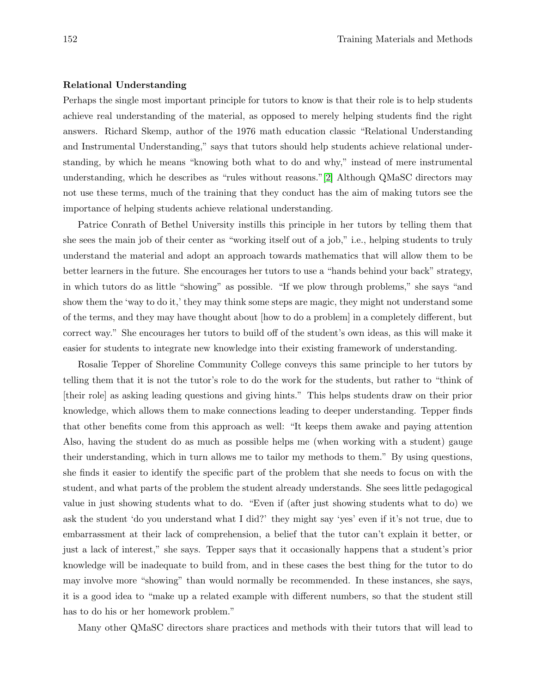#### Relational Understanding

Perhaps the single most important principle for tutors to know is that their role is to help students achieve real understanding of the material, as opposed to merely helping students find the right answers. Richard Skemp, author of the 1976 math education classic "Relational Understanding and Instrumental Understanding," says that tutors should help students achieve relational understanding, by which he means "knowing both what to do and why," instead of mere instrumental understanding, which he describes as "rules without reasons."[2] Although QMaSC directors may not use these terms, much of the training that they conduct has the aim of making tutors see the importance of helping students achieve relational understanding.

Patrice Conrath of Bethel University instills this principle in her tutors by telling them that she sees the main job of their center as "working itself out of a job," i.e., helping students to truly understand the material and adopt an approach towards mathematics that will allow them to be better learners in the future. She encourages her tutors to use a "hands behind your back" strategy, in which tutors do as little "showing" as possible. "If we plow through problems," she says "and show them the 'way to do it,' they may think some steps are magic, they might not understand some of the terms, and they may have thought about [how to do a problem] in a completely different, but correct way." She encourages her tutors to build off of the student's own ideas, as this will make it easier for students to integrate new knowledge into their existing framework of understanding.

Rosalie Tepper of Shoreline Community College conveys this same principle to her tutors by telling them that it is not the tutor's role to do the work for the students, but rather to "think of [their role] as asking leading questions and giving hints." This helps students draw on their prior knowledge, which allows them to make connections leading to deeper understanding. Tepper finds that other benefits come from this approach as well: "It keeps them awake and paying attention Also, having the student do as much as possible helps me (when working with a student) gauge their understanding, which in turn allows me to tailor my methods to them." By using questions, she finds it easier to identify the specific part of the problem that she needs to focus on with the student, and what parts of the problem the student already understands. She sees little pedagogical value in just showing students what to do. "Even if (after just showing students what to do) we ask the student 'do you understand what I did?' they might say 'yes' even if it's not true, due to embarrassment at their lack of comprehension, a belief that the tutor can't explain it better, or just a lack of interest," she says. Tepper says that it occasionally happens that a student's prior knowledge will be inadequate to build from, and in these cases the best thing for the tutor to do may involve more "showing" than would normally be recommended. In these instances, she says, it is a good idea to "make up a related example with different numbers, so that the student still has to do his or her homework problem."

Many other QMaSC directors share practices and methods with their tutors that will lead to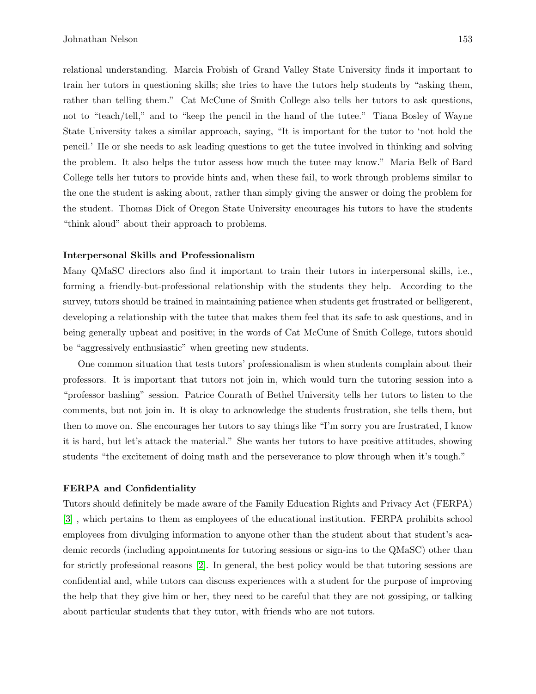relational understanding. Marcia Frobish of Grand Valley State University finds it important to train her tutors in questioning skills; she tries to have the tutors help students by "asking them, rather than telling them." Cat McCune of Smith College also tells her tutors to ask questions, not to "teach/tell," and to "keep the pencil in the hand of the tutee." Tiana Bosley of Wayne State University takes a similar approach, saying, "It is important for the tutor to 'not hold the pencil.' He or she needs to ask leading questions to get the tutee involved in thinking and solving the problem. It also helps the tutor assess how much the tutee may know." Maria Belk of Bard College tells her tutors to provide hints and, when these fail, to work through problems similar to the one the student is asking about, rather than simply giving the answer or doing the problem for the student. Thomas Dick of Oregon State University encourages his tutors to have the students "think aloud" about their approach to problems.

#### Interpersonal Skills and Professionalism

Many QMaSC directors also find it important to train their tutors in interpersonal skills, i.e., forming a friendly-but-professional relationship with the students they help. According to the survey, tutors should be trained in maintaining patience when students get frustrated or belligerent, developing a relationship with the tutee that makes them feel that its safe to ask questions, and in being generally upbeat and positive; in the words of Cat McCune of Smith College, tutors should be "aggressively enthusiastic" when greeting new students.

One common situation that tests tutors' professionalism is when students complain about their professors. It is important that tutors not join in, which would turn the tutoring session into a "professor bashing" session. Patrice Conrath of Bethel University tells her tutors to listen to the comments, but not join in. It is okay to acknowledge the students frustration, she tells them, but then to move on. She encourages her tutors to say things like "I'm sorry you are frustrated, I know it is hard, but let's attack the material." She wants her tutors to have positive attitudes, showing students "the excitement of doing math and the perseverance to plow through when it's tough."

#### FERPA and Confidentiality

Tutors should definitely be made aware of the Family Education Rights and Privacy Act (FERPA) [3] , which pertains to them as employees of the educational institution. FERPA prohibits school employees from divulging information to anyone other than the student about that student's academic records (including appointments for tutoring sessions or sign-ins to the QMaSC) other than for strictly professional reasons [2]. In general, the best policy would be that tutoring sessions are confidential and, while tutors can discuss experiences with a student for the purpose of improving the help that they give him or her, they need to be careful that they are not gossiping, or talking about particular students that they tutor, with friends who are not tutors.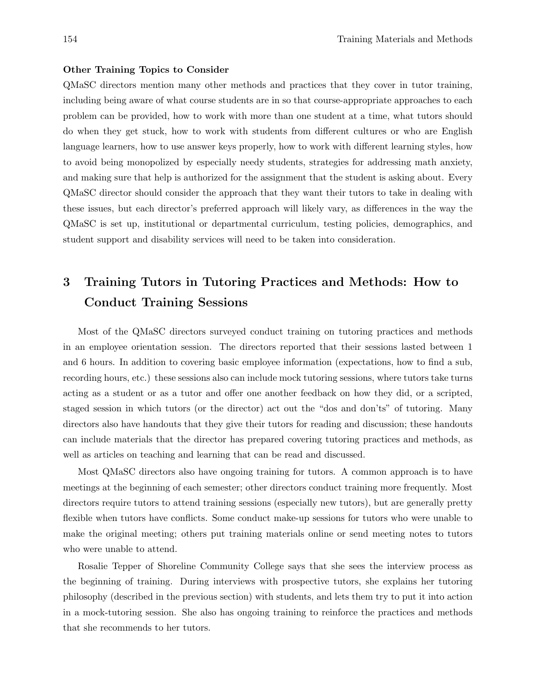#### Other Training Topics to Consider

QMaSC directors mention many other methods and practices that they cover in tutor training, including being aware of what course students are in so that course-appropriate approaches to each problem can be provided, how to work with more than one student at a time, what tutors should do when they get stuck, how to work with students from different cultures or who are English language learners, how to use answer keys properly, how to work with different learning styles, how to avoid being monopolized by especially needy students, strategies for addressing math anxiety, and making sure that help is authorized for the assignment that the student is asking about. Every QMaSC director should consider the approach that they want their tutors to take in dealing with these issues, but each director's preferred approach will likely vary, as differences in the way the QMaSC is set up, institutional or departmental curriculum, testing policies, demographics, and student support and disability services will need to be taken into consideration.

## 3 Training Tutors in Tutoring Practices and Methods: How to Conduct Training Sessions

Most of the QMaSC directors surveyed conduct training on tutoring practices and methods in an employee orientation session. The directors reported that their sessions lasted between 1 and 6 hours. In addition to covering basic employee information (expectations, how to find a sub, recording hours, etc.) these sessions also can include mock tutoring sessions, where tutors take turns acting as a student or as a tutor and offer one another feedback on how they did, or a scripted, staged session in which tutors (or the director) act out the "dos and don'ts" of tutoring. Many directors also have handouts that they give their tutors for reading and discussion; these handouts can include materials that the director has prepared covering tutoring practices and methods, as well as articles on teaching and learning that can be read and discussed.

Most QMaSC directors also have ongoing training for tutors. A common approach is to have meetings at the beginning of each semester; other directors conduct training more frequently. Most directors require tutors to attend training sessions (especially new tutors), but are generally pretty flexible when tutors have conflicts. Some conduct make-up sessions for tutors who were unable to make the original meeting; others put training materials online or send meeting notes to tutors who were unable to attend.

Rosalie Tepper of Shoreline Community College says that she sees the interview process as the beginning of training. During interviews with prospective tutors, she explains her tutoring philosophy (described in the previous section) with students, and lets them try to put it into action in a mock-tutoring session. She also has ongoing training to reinforce the practices and methods that she recommends to her tutors.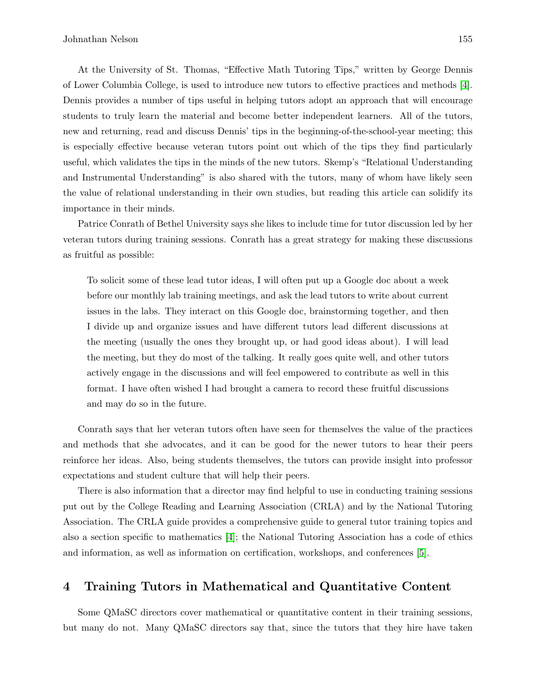At the University of St. Thomas, "Effective Math Tutoring Tips," written by George Dennis of Lower Columbia College, is used to introduce new tutors to effective practices and methods [4]. Dennis provides a number of tips useful in helping tutors adopt an approach that will encourage students to truly learn the material and become better independent learners. All of the tutors, new and returning, read and discuss Dennis' tips in the beginning-of-the-school-year meeting; this is especially effective because veteran tutors point out which of the tips they find particularly useful, which validates the tips in the minds of the new tutors. Skemp's "Relational Understanding and Instrumental Understanding" is also shared with the tutors, many of whom have likely seen the value of relational understanding in their own studies, but reading this article can solidify its importance in their minds.

Patrice Conrath of Bethel University says she likes to include time for tutor discussion led by her veteran tutors during training sessions. Conrath has a great strategy for making these discussions as fruitful as possible:

To solicit some of these lead tutor ideas, I will often put up a Google doc about a week before our monthly lab training meetings, and ask the lead tutors to write about current issues in the labs. They interact on this Google doc, brainstorming together, and then I divide up and organize issues and have different tutors lead different discussions at the meeting (usually the ones they brought up, or had good ideas about). I will lead the meeting, but they do most of the talking. It really goes quite well, and other tutors actively engage in the discussions and will feel empowered to contribute as well in this format. I have often wished I had brought a camera to record these fruitful discussions and may do so in the future.

Conrath says that her veteran tutors often have seen for themselves the value of the practices and methods that she advocates, and it can be good for the newer tutors to hear their peers reinforce her ideas. Also, being students themselves, the tutors can provide insight into professor expectations and student culture that will help their peers.

There is also information that a director may find helpful to use in conducting training sessions put out by the College Reading and Learning Association (CRLA) and by the National Tutoring Association. The CRLA guide provides a comprehensive guide to general tutor training topics and also a section specific to mathematics [4]; the National Tutoring Association has a code of ethics and information, as well as information on certification, workshops, and conferences [5].

### 4 Training Tutors in Mathematical and Quantitative Content

Some QMaSC directors cover mathematical or quantitative content in their training sessions, but many do not. Many QMaSC directors say that, since the tutors that they hire have taken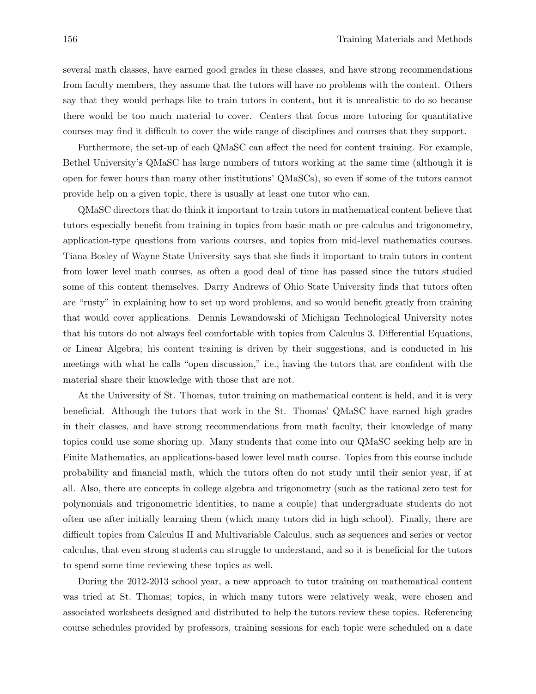several math classes, have earned good grades in these classes, and have strong recommendations from faculty members, they assume that the tutors will have no problems with the content. Others say that they would perhaps like to train tutors in content, but it is unrealistic to do so because there would be too much material to cover. Centers that focus more tutoring for quantitative courses may find it difficult to cover the wide range of disciplines and courses that they support.

Furthermore, the set-up of each QMaSC can affect the need for content training. For example, Bethel University's QMaSC has large numbers of tutors working at the same time (although it is open for fewer hours than many other institutions' QMaSCs), so even if some of the tutors cannot provide help on a given topic, there is usually at least one tutor who can.

QMaSC directors that do think it important to train tutors in mathematical content believe that tutors especially benefit from training in topics from basic math or pre-calculus and trigonometry, application-type questions from various courses, and topics from mid-level mathematics courses. Tiana Bosley of Wayne State University says that she finds it important to train tutors in content from lower level math courses, as often a good deal of time has passed since the tutors studied some of this content themselves. Darry Andrews of Ohio State University finds that tutors often are "rusty" in explaining how to set up word problems, and so would benefit greatly from training that would cover applications. Dennis Lewandowski of Michigan Technological University notes that his tutors do not always feel comfortable with topics from Calculus 3, Differential Equations, or Linear Algebra; his content training is driven by their suggestions, and is conducted in his meetings with what he calls "open discussion," i.e., having the tutors that are confident with the material share their knowledge with those that are not.

At the University of St. Thomas, tutor training on mathematical content is held, and it is very beneficial. Although the tutors that work in the St. Thomas' QMaSC have earned high grades in their classes, and have strong recommendations from math faculty, their knowledge of many topics could use some shoring up. Many students that come into our QMaSC seeking help are in Finite Mathematics, an applications-based lower level math course. Topics from this course include probability and financial math, which the tutors often do not study until their senior year, if at all. Also, there are concepts in college algebra and trigonometry (such as the rational zero test for polynomials and trigonometric identities, to name a couple) that undergraduate students do not often use after initially learning them (which many tutors did in high school). Finally, there are difficult topics from Calculus II and Multivariable Calculus, such as sequences and series or vector calculus, that even strong students can struggle to understand, and so it is beneficial for the tutors to spend some time reviewing these topics as well.

During the 2012-2013 school year, a new approach to tutor training on mathematical content was tried at St. Thomas; topics, in which many tutors were relatively weak, were chosen and associated worksheets designed and distributed to help the tutors review these topics. Referencing course schedules provided by professors, training sessions for each topic were scheduled on a date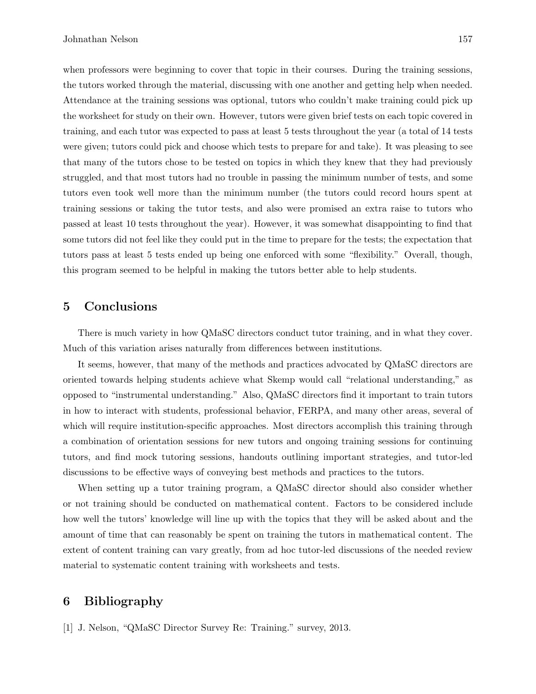when professors were beginning to cover that topic in their courses. During the training sessions, the tutors worked through the material, discussing with one another and getting help when needed. Attendance at the training sessions was optional, tutors who couldn't make training could pick up the worksheet for study on their own. However, tutors were given brief tests on each topic covered in training, and each tutor was expected to pass at least 5 tests throughout the year (a total of 14 tests were given; tutors could pick and choose which tests to prepare for and take). It was pleasing to see that many of the tutors chose to be tested on topics in which they knew that they had previously struggled, and that most tutors had no trouble in passing the minimum number of tests, and some tutors even took well more than the minimum number (the tutors could record hours spent at training sessions or taking the tutor tests, and also were promised an extra raise to tutors who passed at least 10 tests throughout the year). However, it was somewhat disappointing to find that some tutors did not feel like they could put in the time to prepare for the tests; the expectation that tutors pass at least 5 tests ended up being one enforced with some "flexibility." Overall, though, this program seemed to be helpful in making the tutors better able to help students.

### 5 Conclusions

There is much variety in how QMaSC directors conduct tutor training, and in what they cover. Much of this variation arises naturally from differences between institutions.

It seems, however, that many of the methods and practices advocated by QMaSC directors are oriented towards helping students achieve what Skemp would call "relational understanding," as opposed to "instrumental understanding." Also, QMaSC directors find it important to train tutors in how to interact with students, professional behavior, FERPA, and many other areas, several of which will require institution-specific approaches. Most directors accomplish this training through a combination of orientation sessions for new tutors and ongoing training sessions for continuing tutors, and find mock tutoring sessions, handouts outlining important strategies, and tutor-led discussions to be effective ways of conveying best methods and practices to the tutors.

When setting up a tutor training program, a QMaSC director should also consider whether or not training should be conducted on mathematical content. Factors to be considered include how well the tutors' knowledge will line up with the topics that they will be asked about and the amount of time that can reasonably be spent on training the tutors in mathematical content. The extent of content training can vary greatly, from ad hoc tutor-led discussions of the needed review material to systematic content training with worksheets and tests.

## 6 Bibliography

[1] J. Nelson, "QMaSC Director Survey Re: Training." survey, 2013.